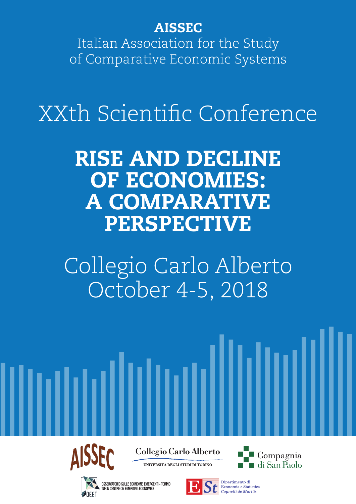AISSEC

Italian Association for the Study of Comparative Economic Systems

XXth Scientific Conference

RISE AND DECLINE OF ECONOMIES: A COMPARATIVE PERSPECTIVE

Collegio Carlo Alberto October 4-5, 2018



Collegio Carlo Alberto

UNIVERSITÀ DEGLI STUDI DI TORINO



OSSERVATORIO SULLE ECONOMIE EMERGENTI - TORINO TURIN CENTRE ON EMERGING ECONOMIES



di San Paolo

Compagnia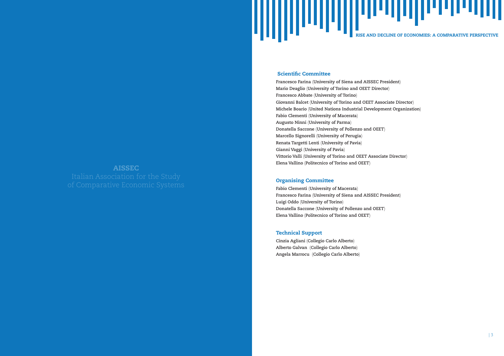

# Scientific Committee

**Francesco Farina** (**University of Siena and AISSEC President**) **Mario Deaglio** (**University of Torino and OEET Director**) **Francesco Abbate** (**University of Torino**) **Giovanni Balcet** (**University of Torino and OEET Associate Director**) **Michele Boario** (**United Nations Industrial Development Organization**) **Fabio Clementi** (**University of Macerata**) **Augusto Ninni** (**University of Parma**) **Donatella Saccone** (**University of Pollenzo and OEET**) **Marcello Signorelli** (**University of Perugia**) **Renata Targetti Lenti** (**University of Pavia**) **Gianni Vaggi** (**University of Pavia**) **Vittorio Valli** (**University of Torino and OEET Associate Director**) **Elena Vallino** (**Politecnico of Torino and OEET**)

# Organising Committee

**Fabio Clementi** (**University of Macerata**) **Francesco Farina** (**University of Siena and AISSEC President**) **Luigi Oddo** (**University of Torino**) **Donatella Saccone** (**University of Pollenzo and OEET**) **Elena Vallino** (**Politecnico of Torino and OEET**)

# Technical Support

**Cinzia Agliani** (**Collegio Carlo Alberto**) **Alberto Galvan** (**Collegio Carlo Alberto**) **Angela Marrocu** (**Collegio Carlo Alberto**)

# AISSEC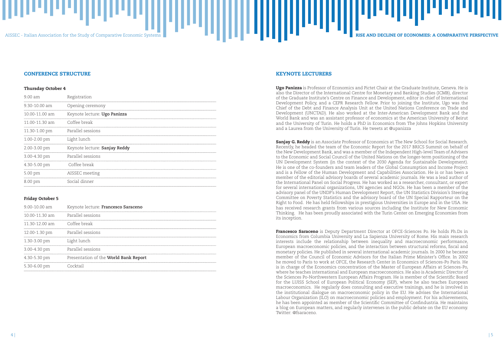# AISSEC - Italian Association for the Study of Comparative Economic Systems RISE AND DECLINE OF ECONOMIES: A COMPARATIVE PERSPECTIVE

# KEYNOTE LECTURERS

Ugo Panizza is Professor of Economics and Pictet Chair at the Graduate Institute, Geneva. He is also the Director of the International Centre for Monetary and Banking Studies (ICMB), director of the Graduate Institute's Centre on Finance and Development, editor in chief of International Development Policy, and a CEPR Research Fellow. Prior to joining the Institute, Ugo was the Chief of the Debt and Finance Analysis Unit at the United Nations Conference on Trade and Development (UNCTAD). He also worked at the Inter-American Development Bank and the World Bank and was an assistant professor of economics at the American University of Beirut and the University of Turin. He holds a PhD in Economics from The Johns Hopkins University and a Laurea from the University of Turin. He tweets at @upanizza

**Sanjay G. Reddy** is an Associate Professor of Economics at The New School for Social Research. Recently, he headed the team of the Economic Report for the 2017 BRICS Summit on behalf of the New Development Bank, and was a member of the Independent High-level Team of Advisers to the Economic and Social Council of the United Nations on the longer-term positioning of the UN Development System (in the context of the 2030 Agenda for Sustainable Development). He is one of the co-founders and team leaders of the Global Consumption and Income Project and is a Fellow of the Human Development and Capabilities Association. He is or has been a member of the editorial advisory boards of several academic journals. He was a lead author of the International Panel on Social Progress. He has worked as a researcher, consultant, or expert for several international organizations, UN agencies and NGOs. He has been a member of the advisory panel of the UNDP's Human Development Report, the UN Statistics Division's Steering Committee on Poverty Statistics and the advisory board of the UN Special Rapporteur on the Right to Food. He has held fellowships in prestigious Universities in Europe and in the USA. He has received research grants from various sources including the Institute for New Economic Thinking. He has been proudly associated with the Turin Center on Emerging Economies from its inception.

Francesco Saraceno is Deputy Department Director at OFCE-Sciences Po. He holds Ph.Ds in Economics from Columbia University and La Sapienza University of Rome. His main research interests include the relationship between inequality and macroeconomic performance, European macroeconomic policies, and the interaction between structural reforms, fiscal and monetary policies. He published in several international academic journals. In 2000 he became member of the Council of Economic Advisors for the Italian Prime Minister's Office. In 2002 he moved to Paris to work at OFCE, the Research Center in Economics of Sciences-Po Paris. He is in charge of the Economics concentration of the Master of European Affairs at Sciences-Po, where he teaches international and European macroeconomics. He also is Academic Director of the Sciences Po-Northwestern European Affairs Program. He is member of the Scientific Board for the LUISS School of European Political Economy (SEP), where he also teaches European macroeconomics. He regularly does consulting and executive trainings, and he is involved in the institutional dialogue on macroeconomic policy in the EU. He advises the International Labour Organization (ILO) on macroeconomic policies and employment. For his achievements, he has been appointed as member of the Scientific Committee of Confindustria. He maintains a blog on European matters, and regularly intervenes in the public debate on the EU economy. Twitter: @fsaraceno.



# CONFERENCE STRUCTURE

## Thursday October 4

| 9.00 am        | Registration                  |
|----------------|-------------------------------|
| 9.30-10.00 am  | Opening ceremony              |
| 10.00-11.00 am | Keynote lecture: Ugo Panizza  |
| 11.00-11.30 am | Coffee break                  |
| 11.30-1.00 pm  | Parallel sessions             |
| 1.00-2.00 pm   | Light lunch                   |
| 2.00-3.00 pm   | Keynote lecture: Sanjay Reddy |
| 3.00-4.30 pm   | Parallel sessions             |
| 4.30-5.00 pm   | Coffee break                  |
| 5.00 pm        | AISSEC meeting                |
| 8.00 pm        | Social dinner                 |

# Friday October 5

| $9.00 - 10.00$ am | Keynote lecture: Francesco Saraceno   |
|-------------------|---------------------------------------|
| 10.00-11.30 am    | Parallel sessions                     |
| 11.30-12.00 am    | Coffee break                          |
| 12.00-1.30 pm     | Parallel sessions                     |
| 1.30-3.00 pm      | Light lunch                           |
| 3.00-4.30 pm      | Parallel sessions                     |
| 4.30-5.30 pm      | Presentation of the World Bank Report |
| 5.30-6.00 pm      | ocktoil                               |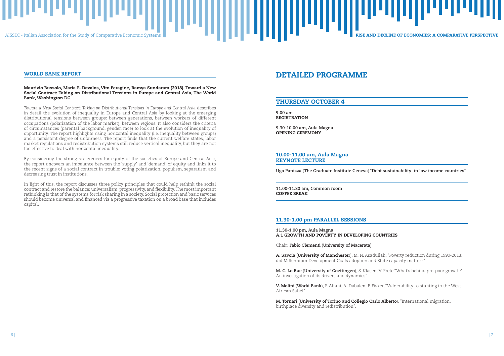# DETAILED PROGRAMME

# THURSDAY OCTOBER 4

**9.00 am** REGISTRATION

**9.30-10.00 am, Aula Magna** OPENING CEREMONY

# 10.00-11.00 am, Aula Magna KEYNOTE LECTURE

**Ugo Panizza** (**The Graduate Institute Geneva**) "**Debt sustainability in low income countries**".

**11.00-11.30 am, Common room** COFFEE BREAK

# 11.30-1.00 pm PARALLEL SESSIONS

**11.30-1.00 pm, Aula Magna** A.1 GROWTH AND POVERTY IN DEVELOPING COUNTRIES

Chair: **Fabio Clementi** (**University of Macerata**)

**A. Savoia** (**University of Manchester**), M. N. Asadullah, "Poverty reduction during 1990-2013: did Millennium Development Goals adoption and State capacity matter?".

**M. C. Lo Bue** (**University of Goettingen**), S. Klasen, V. Prete "What's behind pro-poor growth? An investigation of its drivers and dynamics".

**V. Molini** (**World Bank**), F. Alfani, A. Dabalen, P. Fisker, "Vulnerability to stunting in the West African Sahel".

**M. Tornari** (**University of Torino and Collegio Carlo Alberto**), "International migration, birthplace diversity and redistribution".

AISSEC - Italian Association for the Study of Comparative Economic Systems RISE AND THE RISE AND DECLINE OF ECONOMIES: A COMPARATIVE PERSPECTIVE

# WORLD BANK REPORT

# Maurizio Bussolo, Maria E. Davalos, Vito Peragine, Ramya Sundaram (2018). Toward a New Social Contract: Taking on Distributional Tensions in Europe and Central Asia, The World Bank, Washington DC.

*Toward a New Social Contract: Taking on Distributional Tensions in Europe and Central Asia* describes in detail the evolution of inequality in Europe and Central Asia by looking at the emerging distributional tensions between groups: between generations, between workers of different occupations (polarization of the labor market), between regions. It also considers the criteria of circumstances (parental background, gender, race) to look at the evolution of inequality of opportunity. The report highlights rising horizontal inequality (i.e. inequality between groups) and a persistent degree of unfairness. The report finds that the current welfare states, labor market regulations and redistribution systems still reduce vertical inequality, but they are not too effective to deal with horizontal inequality.

By considering the strong preferences for equity of the societies of Europe and Central Asia, the report uncovers an imbalance between the 'supply' and 'demand' of equity and links it to the recent signs of a social contract in trouble: voting polarization, populism, separatism and decreasing trust in institutions.

In light of this, the report discusses three policy principles that could help rethink the social contract and restore the balance: universalism, progressivity, and flexibility. The most important rethinking is that of the systems for risk sharing in a society. Social protection and basic services should become universal and financed via a progressive taxation on a broad base that includes capital.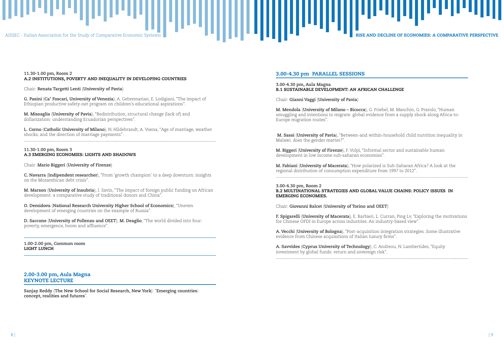

# 3.00-4.30 pm PARALLEL SESSIONS

**3.00-4.30 pm, Aula Magna** B.1 SUSTAINABLE DEVELOPMENT: AN AFRICAN CHALLENGE

Chair: **Gianni Vaggi** (**University of Pavia**)

**M. Mendola** (**University of Milano – Bicocca**), G. Friebel, M. Manchin, G. Prarolo, "Human smuggling and intentions to migrate: global evidence from a supply shock along Africa-to-Europe migration routes".

 **M. Sassi** (**University of Pavia**), "Between-and within-household child nutrition inequality in Malawi. does the gender matter?".

**M. Biggeri** (**University of Firenze**), F. Volpi, "Informal sector and sustainable human development in low income sub-saharan economies".

**M. Fabiani** (**University of Macerata**), "How polarized is Sub-Saharan Africa? A look at the regional distribution of consumption expenditure from 1997 to 2012".

**3.00-4.30 pm, Room 2** B.2 MULTINATIONAL STRATEGIES AND GLOBAL VALUE CHAINS: POLICY ISSUES IN EMERGING ECONOMIES.

Chair: **Giovanni Balcet** (**University of Torino and OEET**)

**F. Spigarelli** (**University of Macerata**), E. Barbieri, L. Curran, Ping Lv, "Exploring the motivations for Chinese OFDI in Europe across industries. An industry-based view".

**A. Vecchi** (**University of Bologna**), "Post-acquisition integration strategies. Some illustrative evidence from Chinese acquisitions of Italian luxury firms".

**A. Savvides** (**Cyprus University of Technology**), C. Andreou, N. Lambertides, "Equity investment by global funds: return and sovereign risk".

# **11.30-1.00 pm, Room 2** A.2 INSTITUTIONS, POVERTY AND INEQUALITY IN DEVELOPING COUNTRIES

Chair: **Renata Targetti Lenti** (**University of Pavia**)

**G. Pasini** (**Ca' Foscari, University of Venezia**), A. Gebremarian, E. Lodigiani, "The impact of Ethiopian productive safety-net program on children's educational aspirations".

**M. Missaglia** (**University of Pavia**), "Redistribution, structural change (lack of) and dollarization: understanding Ecuadorian perspectives".

**L. Corno** (**Catholic University of Milano**), N. Hildebrandt, A. Voena, "Age of marriage, weather shocks, and the direction of marriage payments".

# **11.30-1.00 pm, Room 3** A.3 EMERGING ECONOMIES: LIGHTS AND SHADOWS

Chair: **Mario Biggeri** (**University of Firenze**)

**C. Navarra** (**Indipendent researcher**), "From 'growth champion' to a deep downturn: insights on the Mozambican debt crisis".

**M. Marson** (**University of Insubria**), I. Savin, "The impact of foreign public funding on African development: a comparative study of traditional donors and China".

**O. Demidova** (**National Research University Higher School of Economics**), "Uneven development of emerging countries on the example of Russia".

**D. Saccone** (**University of Pollenzo and OEET**), **M. Deaglio**, "The world divided into four: poverty, emergence, boom and affluence".

**1.00-2.00 pm, Common room** LIGHT LUNCH

# 2.00-3.00 pm, Aula Magna KEYNOTE LECTURE

**Sanjay Reddy** (**The New School for Social Research, New York**) "**Emerging countries: concept, realities and futures**".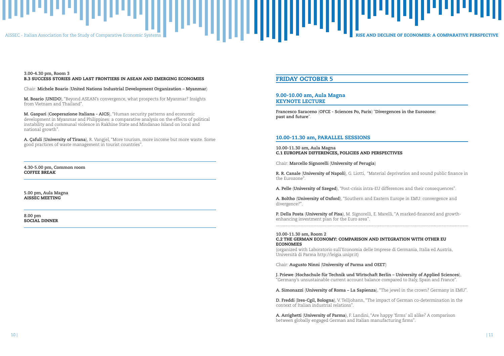# AISSEC - Italian Association for the Study of Comparative Economic Systems RISE AND THE RISE AND DECLINE OF ECONOMIES: A COMPARATIVE PERSPECTIVE

# FRIDAY OCTOBER 5

I **Francesco Saraceno** (**OFCE - Sciences Po, Paris**) "**Divergences in the Eurozone: past and future**".

# 9.00-10.00 am, Aula Magna KEYNOTE LECTURE

# 10.00-11.30 am, PARALLEL SESSIONS

**10.00-11.30 am, Aula Magna** C.1 EUROPEAN DIFFERENCES, POLICIES AND PERSPECTIVES

Chair: **Marcello Signorelli** (**University of Perugia**)

**R. R. Canale** (**University of Napoli**), G. Liotti, "Material deprivation and sound public finance in the Eurozone".

**A. Pelle** (**University of Szeged**), "Post-crisis intra-EU differences and their consequences".

**A. Boltho** (**University of Oxford**), "Southern and Eastern Europe in EMU: convergence and divergence?".

**P. Della Posta** (**University of Pisa**), M. Signorelli, E. Marelli, "A marked-financed and growthenhancing investment plan for the Euro area".

## **10.00-11.30 am, Room 2** C.2 THE GERMAN ECONOMY: COMPARISON AND INTEGRATION WITH OTHER EU ECONOMIES

(organized with Laboratorio sull'Economia delle Imprese di Germania, Italia ed Austria, Università di Parma http://leigia.unipr.it)

Chair: **Augusto Ninni** (**University of Parma and OEET**)

**J. Priewe** (**Hochschule für Technik und Wirtschaft Berlin – University of Applied Sciences**), "Germany's unsustainable current account balance compared to Italy, Spain and France".

**A. Simonazzi** (**University of Roma – La Sapienza**), "The jewel in the crown? Germany in EMU".

**D. Freddi** (**Ires-Cgil, Bologna**), V. Telljohann, "The impact of German co-determination in the context of Italian industrial relations".

**A. Arrighetti** (**University of Parma**), F. Landini, "Are happy 'firms' all alike? A comparison between globally engaged German and Italian manufacturing firms".

# **3.00-4.30 pm, Room 3** B.3 SUCCESS STORIES AND LAST FRONTIERS IN ASEAN AND EMERGING ECONOMIES

Chair: **Michele Boario** (**United Nations Industrial Development Organization – Myanmar**)

**M. Boario** (**UNIDO**), "Beyond ASEAN's convergence, what prospects for Myanmar? Insights from Vietnam and Thailand".

**M. Gaspari** (**Cooperazione Italiana - AICS**), "Human security patterns and economic development in Myanmar and Philippines: a comparative analysis on the effects of political instability and communal violence in Rakhine State and Mindanao Island on local and national growth".

**A. Çafuli** (**University of Tirana**), R. Vangjel, "More tourism, more income but more waste. Some good practices of waste management in tourist countries".

**4.30-5.00 pm, Common room** COFFEE BREAK

**5.00 pm, Aula Magna** AISSEC MEETING

**8.00 pm** SOCIAL DINNER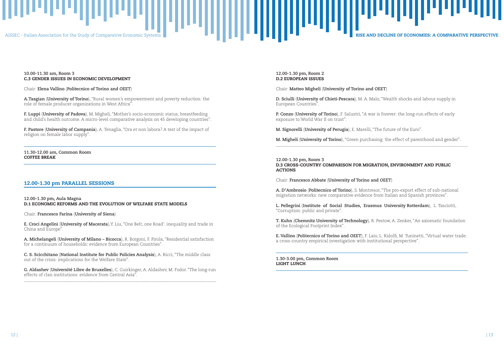# $\blacksquare$  AISSEC - Italian Association for the Study of Comparative Economic Systems RISE And Decline  $\blacksquare$  . And  $\blacksquare$  . And  $\blacksquare$  . And  $\blacksquare$  . There are  $\blacksquare$  . There are  $\blacksquare$  . There are  $\blacksquare$  . There are  $\blacksquare$

# **12.00-1.30 pm, Room 2** D.2 EUROPEAN ISSUES

Chair: **Matteo Migheli** (**University of Torino and OEET**)

**D. Sciulli** (**University of Chieti-Pescara**), M. A. Malo, "Wealth shocks and labour supply in European Countries".

**P. Conzo** (**University of Torino**), F. Salustri, "A war is forever: the long-run effects of early exposure to World War II on trust".

**M. Signorelli** (**University of Perugia**), E. Marelli, "The future of the Euro".

**M. Migheli** (**University of Torino**), "Green purchasing: the effect of parenthood and gender".

**12.00-1.30 pm, Room 3** D.3 CROSS-COUNTRY COMPARISON FOR MIGRATION, ENVIRONMENT AND PUBLIC ACTIONS

Chair: **Francesco Abbate** (**University of Torino and OEET**)

**A. D'Ambrosio** (**Politecnico of Torino**), S. Montresor, "The pro-export effect of sub-national migration networks: new comparative evidence from Italian and Spanish provinces".

**L. Pellegrini** (**Institute of Social Studies, Erasmus University Rotterdam**), L. Tasciotti, "Corruption: public and private".

**T. Kuhn** (**Chemnitz University of Technology**), R. Pestow, A. Zenker, "An axiomatic foundation of the Ecological Footprint Index".

**E. Vallino** (**Politecnico of Torino and OEET**), F. Laio, L. Ridolfi, M. Tuninetti, "Virtual water trade: a cross-country empirical investigation with institutional perspective".

**1.30-3.00 pm, Common Room** LIGHT LUNCH



# **10.00-11.30 am, Room 3** C.3 GENDER ISSUES IN ECONOMIC DEVELOPMENT

Chair: **Elena Vallino** (**Politecnico of Torino and OEET**)

**A.Tasgian** (**University of Torino**), "Rural women's empowerment and poverty reduction: the role of female producer organizations in West Africa".

**F. Luppi** (**University of Padova**), M. Migheli, "Mother's socio-economic status, breastfeeding and child's health outcome. A micro-level comparative analysis on 45 developing countries".

**F. Pastore** (**University of Campania**), A. Tenaglia, "Ora et non labora? A test of the impact of religion on female labor supply".

**11.30-12.00 am, Common Room** COFFEE BREAK

# 12.00-1.30 pm PARALLEL SESSIONS

**12.00-1.30 pm, Aula Magna** D.1 ECONOMIC REFORMS AND THE EVOLUTION OF WELFARE STATE MODELS

Chair: **Francesco Farina** (**University of Siena**)

**E. Croci Angelini** (**University of Macerata**),Y. Liu, "One Belt, one Road': inequality and trade in China and Europe".

**A. Michelangeli** (**University of Milano – Bicocca**), R. Borgoni, F. Pirola, "Residential satisfaction for a continuum of households: evidence from European Countries".

**C. S. Scicchitano** (**National Institute for Public Policies Analysis**), A. Ricci, "The middle class out of the crisis: implications for the Welfare State".

**G. Aldashev** (**Université Libre de Bruxelles**), C. Guirkinger, A. Aldashev, M. Fodor. "The long-run effects of clan institutions: evidence from Central Asia".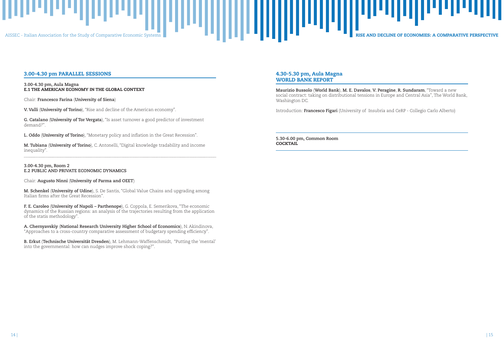

# 4.30-5.30 pm, Aula Magna WORLD BANK REPORT

**5.30-6.00 pm, Common Room COCKTAIL** 

**Maurizio Bussolo** (**World Bank**), **M. E. Davalos**, **V. Peragine**, **R. Sundaram**, "Toward a new social contract: taking on distributional tensions in Europe and Central Asia", The World Bank, Washington DC.

Introduction: **Francesco Figari** (University of Insubria and CeRP - Collegio Carlo Alberto)

# 3.00-4.30 pm PARALLEL SESSIONS

# **3.00-4.30 pm, Aula Magna** E.1 THE AMERICAN ECONOMY IN THE GLOBAL CONTEXT

Chair: **Francesco Farina** (**University of Siena**)

**V. Valli** (**University of Torino**), "Rise and decline of the American economy".

**G. Catalano** (**University of Tor Vergata**), "Is asset turnover a good predictor of investment demand?".

**L. Oddo** (**University of Torino**), "Monetary policy and inflation in the Great Recession".

**M. Tubiana** (**University of Torino**), C. Antonelli, "Digital knowledge tradability and income inequality".

# **3.00-4.30 pm, Room 2 E.2 PUBLIC AND PRIVATE ECONOMIC DYNAMICS**

Chair: **Augusto Ninni** (**University of Parma and OEET**)

**M. Schenkel** (**University of Udine**), S. De Santis, "Global Value Chains and upgrading among Italian firms after the Great Recession".

**F. E. Caroleo** (**University of Napoli – Parthenope**), G. Coppola, E. Semerikova, "The economic dynamics of the Russian regions: an analysis of the trajectories resulting from the application of the statis methodology".

**A. Chernyavskiy** (**National Research University Higher School of Economics**), N. Akindinova, "Approaches to a cross-country comparative assessment of budgetary spending efficiency".

**B. Erkut** (**Technische Universität Dresden**), M. Lehmann-Waffenschmidt, "Putting the 'mental' into the governmental: how can nudges improve shock coping?".